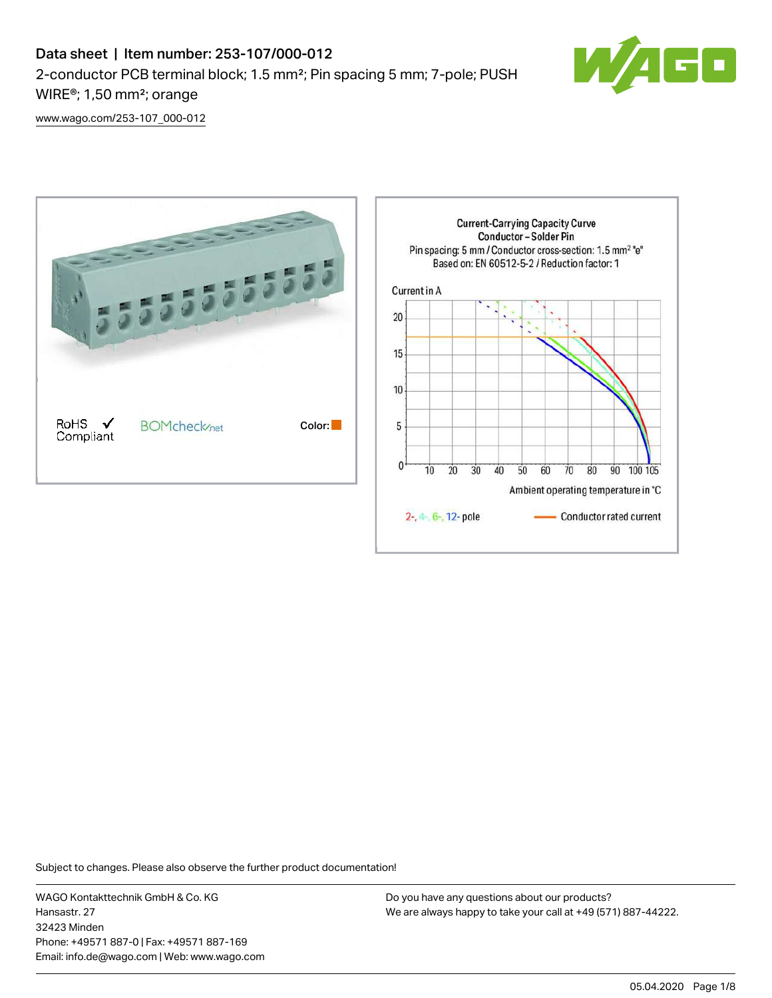

[www.wago.com/253-107\\_000-012](http://www.wago.com/253-107_000-012)



Subject to changes. Please also observe the further product documentation!

WAGO Kontakttechnik GmbH & Co. KG Hansastr. 27 32423 Minden Phone: +49571 887-0 | Fax: +49571 887-169 Email: info.de@wago.com | Web: www.wago.com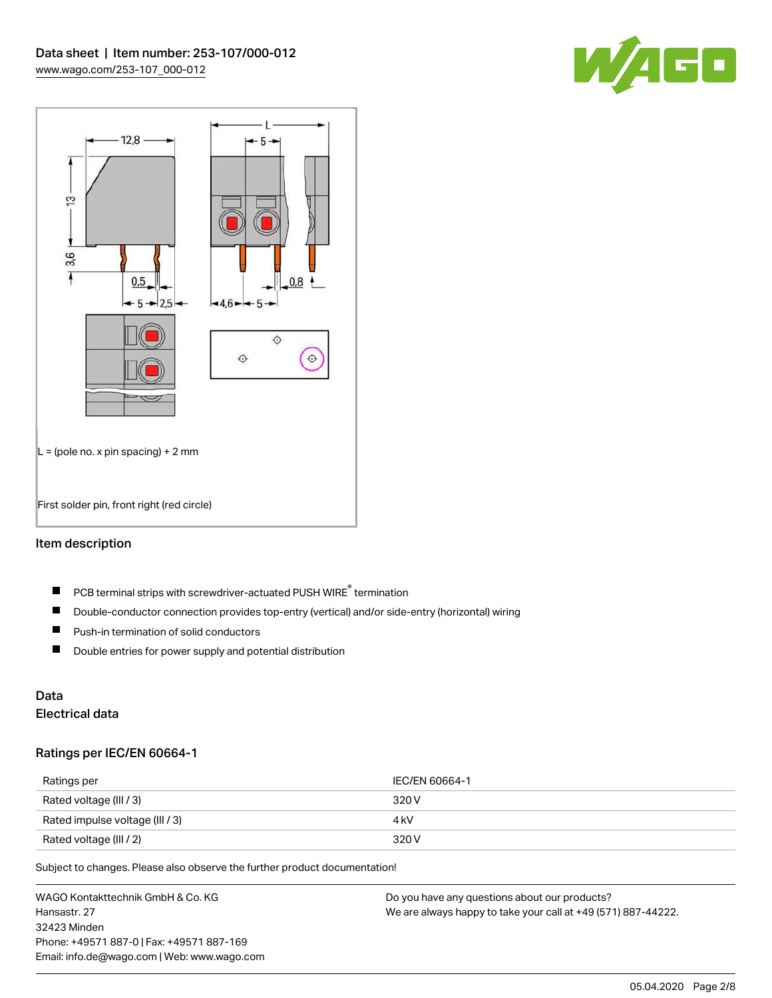



# Item description

- PCB terminal strips with screwdriver-actuated PUSH WIRE® termination  $\blacksquare$
- $\blacksquare$ Double-conductor connection provides top-entry (vertical) and/or side-entry (horizontal) wiring
- $\blacksquare$ Push-in termination of solid conductors
- $\blacksquare$ Double entries for power supply and potential distribution

# Data

# Electrical data

## Ratings per IEC/EN 60664-1

| Ratings per                     | IEC/EN 60664-1 |
|---------------------------------|----------------|
| Rated voltage (III / 3)         | 320 V          |
| Rated impulse voltage (III / 3) | 4 kV           |
| Rated voltage (III / 2)         | 320 V          |

Subject to changes. Please also observe the further product documentation!

WAGO Kontakttechnik GmbH & Co. KG Hansastr. 27 32423 Minden Phone: +49571 887-0 | Fax: +49571 887-169 Email: info.de@wago.com | Web: www.wago.com Do you have any questions about our products? We are always happy to take your call at +49 (571) 887-44222.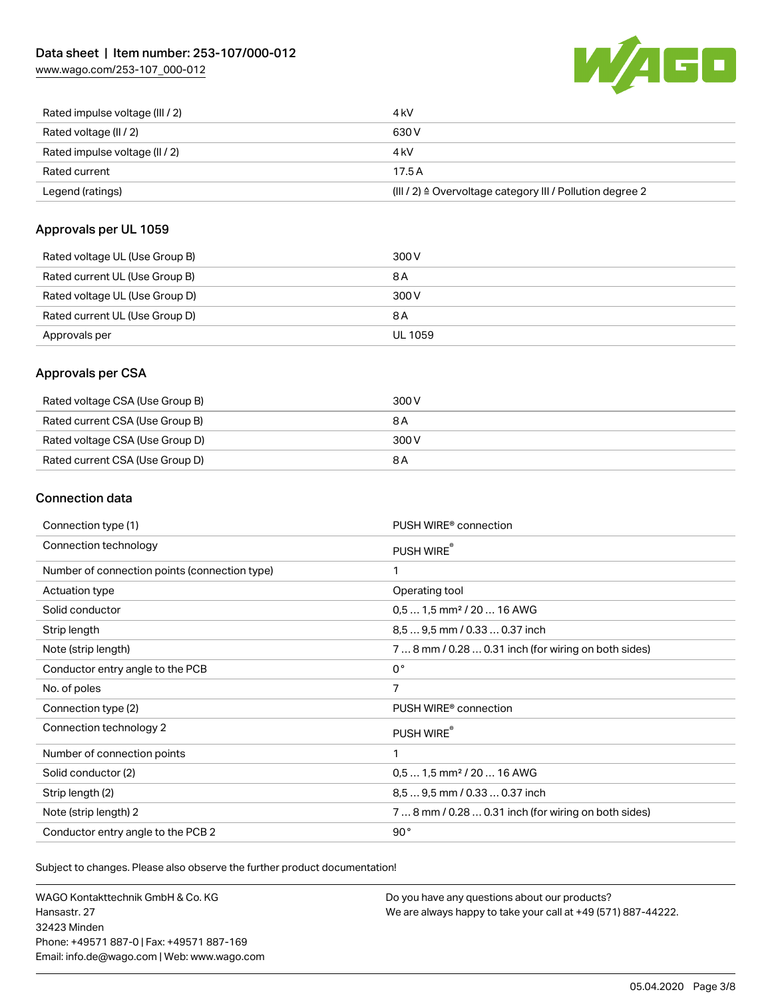[www.wago.com/253-107\\_000-012](http://www.wago.com/253-107_000-012)



| Rated current<br>Legend (ratings) | 17.5A<br>$(III / 2)$ $\triangle$ Overvoltage category III / Pollution degree 2 |
|-----------------------------------|--------------------------------------------------------------------------------|
|                                   |                                                                                |
| Rated impulse voltage (II / 2)    | 4 kV                                                                           |
| Rated voltage (II / 2)            | 630 V                                                                          |
| Rated impulse voltage (III / 2)   | 4 kV                                                                           |

## Approvals per UL 1059

| Rated voltage UL (Use Group B) | 300 V   |
|--------------------------------|---------|
| Rated current UL (Use Group B) | 8 A     |
| Rated voltage UL (Use Group D) | 300 V   |
| Rated current UL (Use Group D) | 8 A     |
| Approvals per                  | UL 1059 |

# Approvals per CSA

| Rated voltage CSA (Use Group B) | 300 V |
|---------------------------------|-------|
| Rated current CSA (Use Group B) | 8 A   |
| Rated voltage CSA (Use Group D) | 300 V |
| Rated current CSA (Use Group D) | 8 A   |

# Connection data

| Connection type (1)                           | PUSH WIRE <sup>®</sup> connection                    |
|-----------------------------------------------|------------------------------------------------------|
| Connection technology                         | PUSH WIRE®                                           |
| Number of connection points (connection type) | 1                                                    |
| Actuation type                                | Operating tool                                       |
| Solid conductor                               | $0.51.5$ mm <sup>2</sup> / 20  16 AWG                |
| Strip length                                  | 8,5  9,5 mm / 0.33  0.37 inch                        |
| Note (strip length)                           | 7  8 mm / 0.28  0.31 inch (for wiring on both sides) |
| Conductor entry angle to the PCB              | $0^{\circ}$                                          |
| No. of poles                                  | 7                                                    |
| Connection type (2)                           | PUSH WIRE <sup>®</sup> connection                    |
| Connection technology 2                       | PUSH WIRE®                                           |
| Number of connection points                   | 1                                                    |
| Solid conductor (2)                           | $0.51.5$ mm <sup>2</sup> / 20  16 AWG                |
| Strip length (2)                              | 8.5  9.5 mm / 0.33  0.37 inch                        |
| Note (strip length) 2                         | 7  8 mm / 0.28  0.31 inch (for wiring on both sides) |
| Conductor entry angle to the PCB 2            | 90°                                                  |

Subject to changes. Please also observe the further product documentation!

WAGO Kontakttechnik GmbH & Co. KG Hansastr. 27 32423 Minden Phone: +49571 887-0 | Fax: +49571 887-169 Email: info.de@wago.com | Web: www.wago.com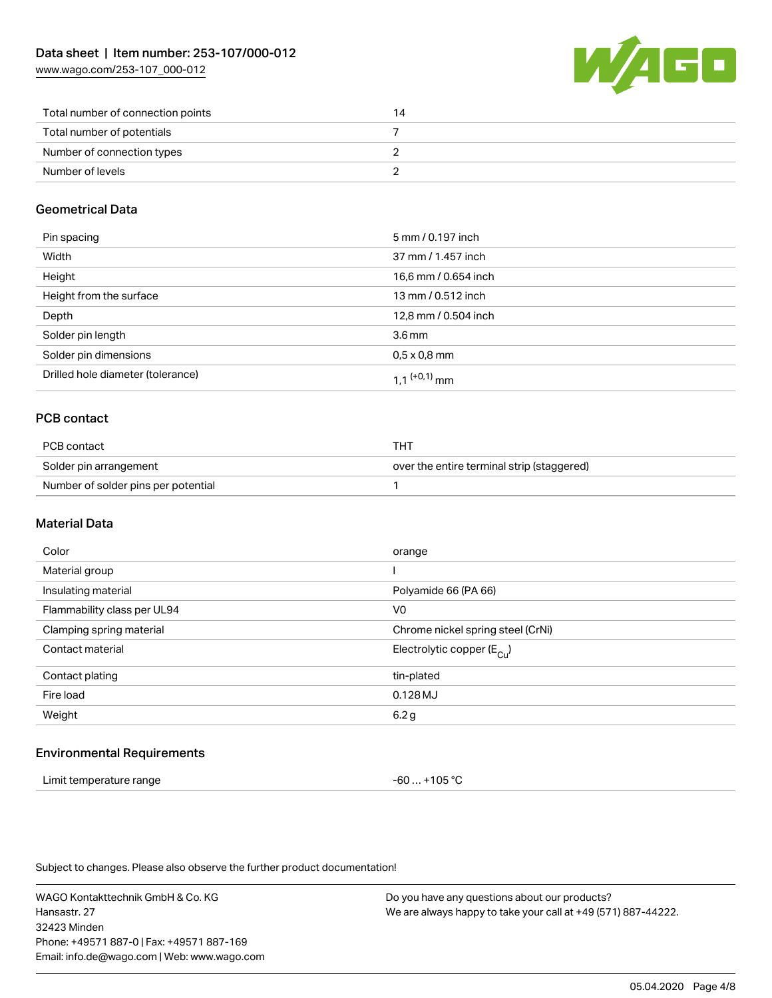[www.wago.com/253-107\\_000-012](http://www.wago.com/253-107_000-012)



| Total number of connection points | 14 |
|-----------------------------------|----|
| Total number of potentials        |    |
| Number of connection types        |    |
| Number of levels                  |    |

# Geometrical Data

| Pin spacing                       | 5 mm / 0.197 inch    |
|-----------------------------------|----------------------|
| Width                             | 37 mm / 1.457 inch   |
| Height                            | 16,6 mm / 0.654 inch |
| Height from the surface           | 13 mm / 0.512 inch   |
| Depth                             | 12,8 mm / 0.504 inch |
| Solder pin length                 | 3.6 <sub>mm</sub>    |
| Solder pin dimensions             | $0.5 \times 0.8$ mm  |
| Drilled hole diameter (tolerance) | 1 1 $(0.1)$ mm       |

# PCB contact

| PCB contact                         | THT                                        |
|-------------------------------------|--------------------------------------------|
| Solder pin arrangement              | over the entire terminal strip (staggered) |
| Number of solder pins per potential |                                            |

# Material Data

| Color                       | orange                                |
|-----------------------------|---------------------------------------|
| Material group              |                                       |
| Insulating material         | Polyamide 66 (PA 66)                  |
| Flammability class per UL94 | V <sub>0</sub>                        |
| Clamping spring material    | Chrome nickel spring steel (CrNi)     |
| Contact material            | Electrolytic copper $(E_{\text{Cl}})$ |
| Contact plating             | tin-plated                            |
| Fire load                   | $0.128$ MJ                            |
| Weight                      | 6.2 g                                 |
|                             |                                       |

## Environmental Requirements

| Limit temperature range | $-60+105 °C$ |
|-------------------------|--------------|
|-------------------------|--------------|

Subject to changes. Please also observe the further product documentation!

WAGO Kontakttechnik GmbH & Co. KG Hansastr. 27 32423 Minden Phone: +49571 887-0 | Fax: +49571 887-169 Email: info.de@wago.com | Web: www.wago.com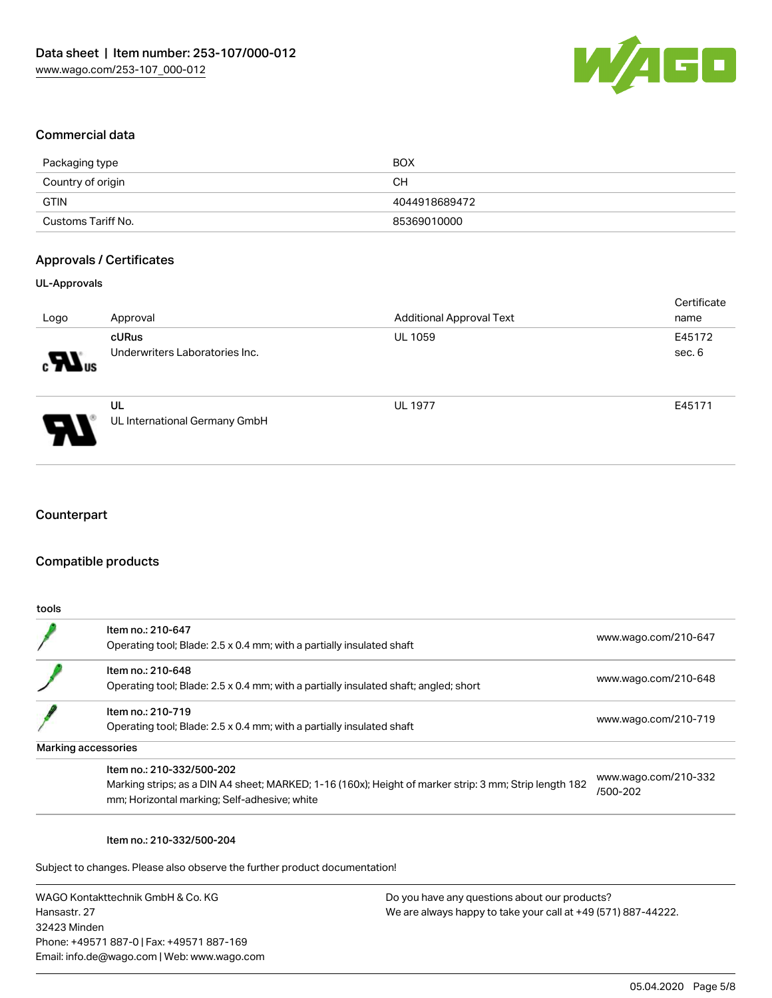

## Commercial data

| Packaging type     | <b>BOX</b>    |
|--------------------|---------------|
| Country of origin  | <b>CH</b>     |
| GTIN               | 4044918689472 |
| Customs Tariff No. | 85369010000   |

## Approvals / Certificates

## UL-Approvals

| Logo                                     | Approval                                | <b>Additional Approval Text</b> | Certificate<br>name |
|------------------------------------------|-----------------------------------------|---------------------------------|---------------------|
| $\boldsymbol{\mathcal{H}}$ <sub>us</sub> | cURus<br>Underwriters Laboratories Inc. | <b>UL 1059</b>                  | E45172<br>sec. 6    |
| Э                                        | UL<br>UL International Germany GmbH     | <b>UL 1977</b>                  | E45171              |

# **Counterpart**

## Compatible products

| tools |                                                                                                                                                                                     |                                  |
|-------|-------------------------------------------------------------------------------------------------------------------------------------------------------------------------------------|----------------------------------|
|       | Item no.: 210-647<br>Operating tool; Blade: 2.5 x 0.4 mm; with a partially insulated shaft                                                                                          | www.wago.com/210-647             |
|       | Item no.: 210-648<br>Operating tool; Blade: 2.5 x 0.4 mm; with a partially insulated shaft; angled; short                                                                           | www.wago.com/210-648             |
|       | Item no.: 210-719<br>Operating tool; Blade: 2.5 x 0.4 mm; with a partially insulated shaft                                                                                          | www.wago.com/210-719             |
|       | Marking accessories                                                                                                                                                                 |                                  |
|       | Item no.: 210-332/500-202<br>Marking strips; as a DIN A4 sheet; MARKED; 1-16 (160x); Height of marker strip: 3 mm; Strip length 182<br>mm; Horizontal marking; Self-adhesive; white | www.wago.com/210-332<br>/500-202 |

#### Item no.: 210-332/500-204

Subject to changes. Please also observe the further product documentation!

WAGO Kontakttechnik GmbH & Co. KG Hansastr. 27 32423 Minden Phone: +49571 887-0 | Fax: +49571 887-169 Email: info.de@wago.com | Web: www.wago.com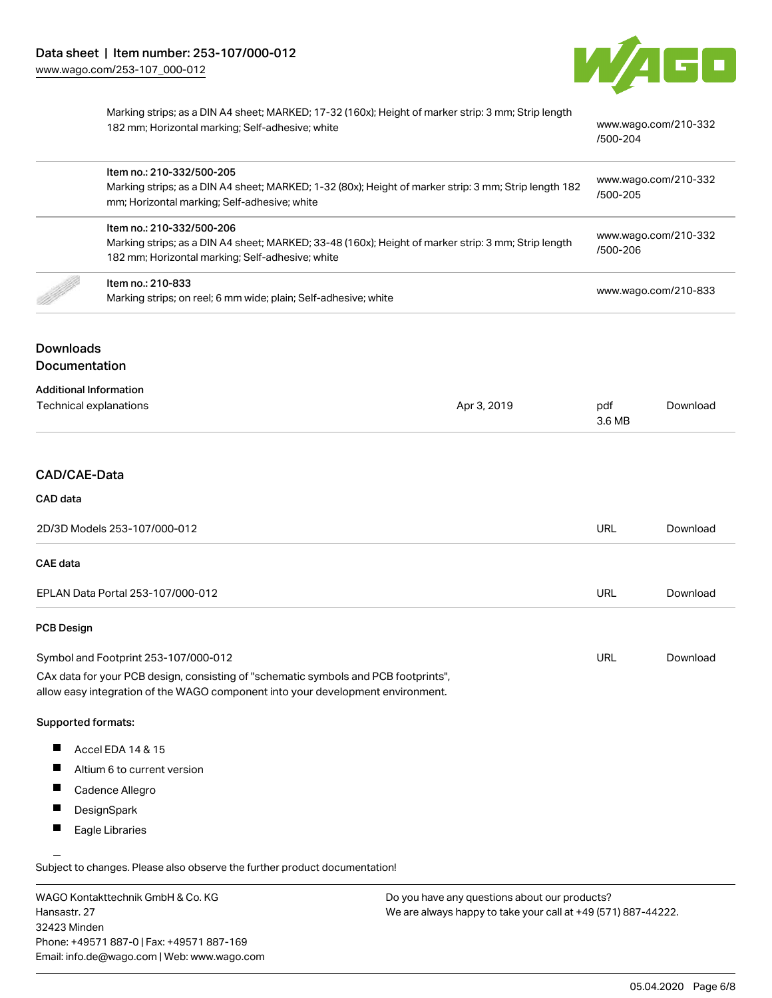

[/500-204](http://www.wago.com/210-332/500-204)

Marking strips; as a DIN A4 sheet; MARKED; 17-32 (160x); Height of marker strip: 3 mm; Strip length 182 mm; Horizontal marking; Self-adhesive; white [www.wago.com/210-332](http://www.wago.com/210-332/500-204)

Item no.: 210-332/500-205 Marking strips; as a DIN A4 sheet; MARKED; 1-32 (80x); Height of marker strip: 3 mm; Strip length 182 mm; Horizontal marking; Self-adhesive; white [www.wago.com/210-332](http://www.wago.com/210-332/500-205) [/500-205](http://www.wago.com/210-332/500-205) Item no.: 210-332/500-206 Marking strips; as a DIN A4 sheet; MARKED; 33-48 (160x); Height of marker strip: 3 mm; Strip length 182 mm; Horizontal marking; Self-adhesive; white [www.wago.com/210-332](http://www.wago.com/210-332/500-206) [/500-206](http://www.wago.com/210-332/500-206) Item no.: 210-833 Marking strips; on reel; 6 mm wide; plain; Self-adhesive; white [www.wago.com/210-833](http://www.wago.com/210-833)<br>Marking strips; on reel; 6 mm wide; plain; Self-adhesive; white

# Downloads Documentation

#### Additional Information

| Auuronan monnation     |             |        |          |
|------------------------|-------------|--------|----------|
| Technical explanations | Apr 3, 2019 | pdf    | Download |
|                        |             | 3.6 MB |          |
|                        |             |        |          |

## CAD/CAE-Data

#### CAD data

| 2D/3D Models 253-107/000-012         | <b>URL</b> | Download |
|--------------------------------------|------------|----------|
| CAE data                             |            |          |
| EPLAN Data Portal 253-107/000-012    | URL        | Download |
| <b>PCB Design</b>                    |            |          |
| Symbol and Footprint 253-107/000-012 | URL        | Download |

CAx data for your PCB design, consisting of "schematic symbols and PCB footprints", allow easy integration of the WAGO component into your development environment.

#### Supported formats:

- П Accel EDA 14 & 15
- $\blacksquare$ Altium 6 to current version
- Г Cadence Allegro
- $\blacksquare$ **DesignSpark**
- П Eagle Libraries

Subject to changes. Please also observe the further product documentation!

WAGO Kontakttechnik GmbH & Co. KG Hansastr. 27 32423 Minden Phone: +49571 887-0 | Fax: +49571 887-169 Email: info.de@wago.com | Web: www.wago.com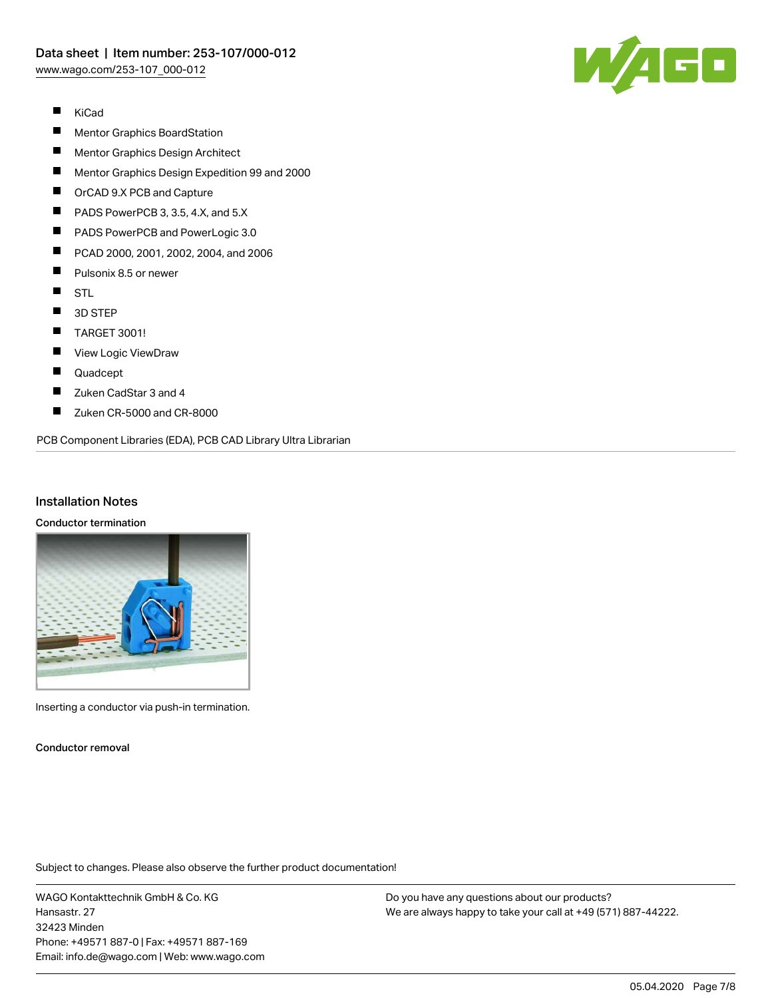

- $\blacksquare$ KiCad
- $\blacksquare$ Mentor Graphics BoardStation
- $\blacksquare$ Mentor Graphics Design Architect
- $\blacksquare$ Mentor Graphics Design Expedition 99 and 2000
- П OrCAD 9.X PCB and Capture
- П PADS PowerPCB 3, 3.5, 4.X, and 5.X
- П PADS PowerPCB and PowerLogic 3.0
- $\blacksquare$ PCAD 2000, 2001, 2002, 2004, and 2006
- $\blacksquare$ Pulsonix 8.5 or newer
- $\blacksquare$ STL
- $\blacksquare$ 3D STEP
- $\blacksquare$ TARGET 3001!
- $\blacksquare$ View Logic ViewDraw
- $\blacksquare$ Quadcept
- П Zuken CadStar 3 and 4
- $\blacksquare$ Zuken CR-5000 and CR-8000

PCB Component Libraries (EDA), PCB CAD Library Ultra Librarian

## Installation Notes

#### Conductor termination



Inserting a conductor via push-in termination.

Conductor removal

Subject to changes. Please also observe the further product documentation!

WAGO Kontakttechnik GmbH & Co. KG Hansastr. 27 32423 Minden Phone: +49571 887-0 | Fax: +49571 887-169 Email: info.de@wago.com | Web: www.wago.com